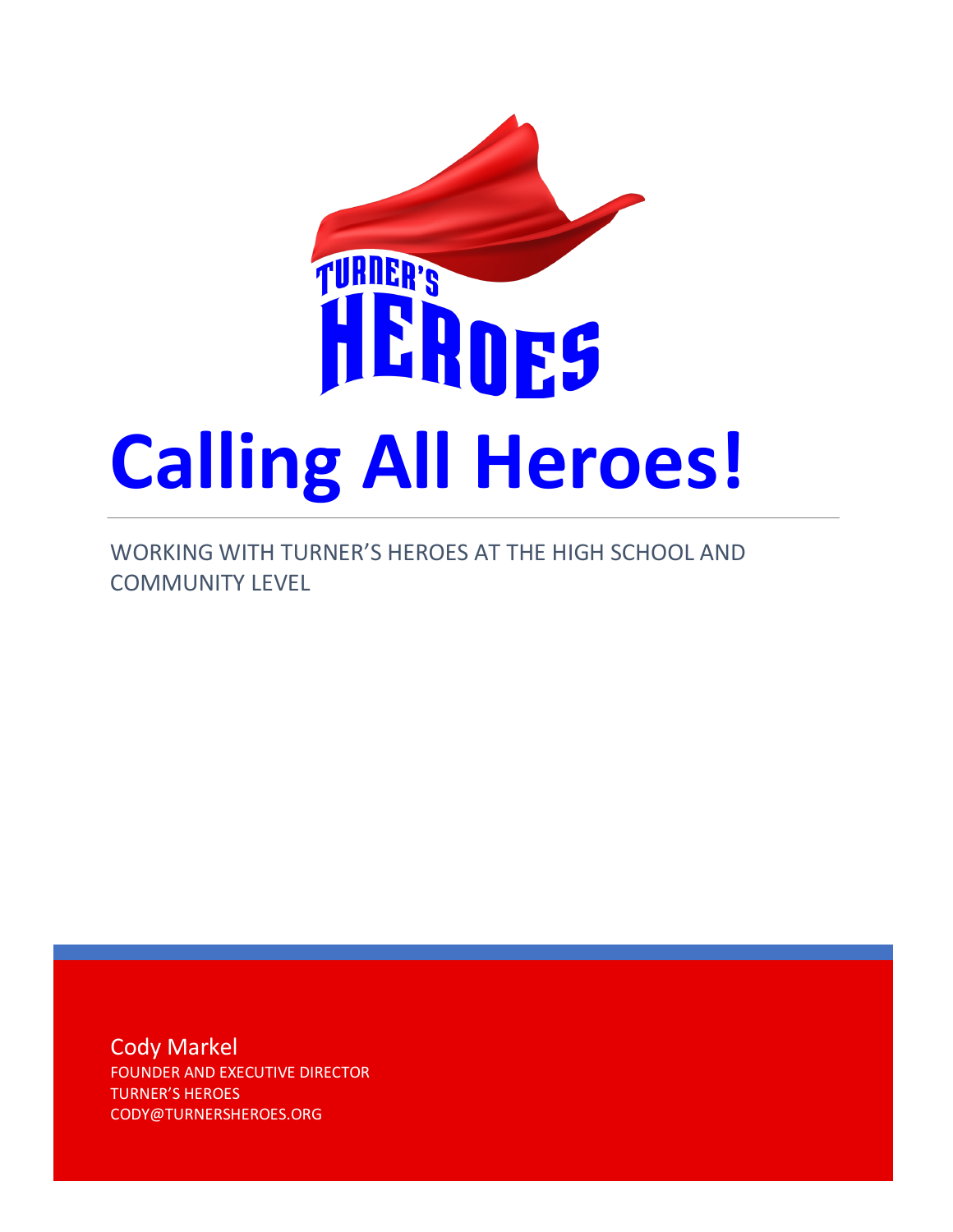

WORKING WITH TURNER'S HEROES AT THE HIGH SCHOOL AND COMMUNITY LEVEL

Cody Markel FOUNDER AND EXECUTIVE DIRECTOR TURNER'S HEROES CODY@TURNERSHEROES.ORG